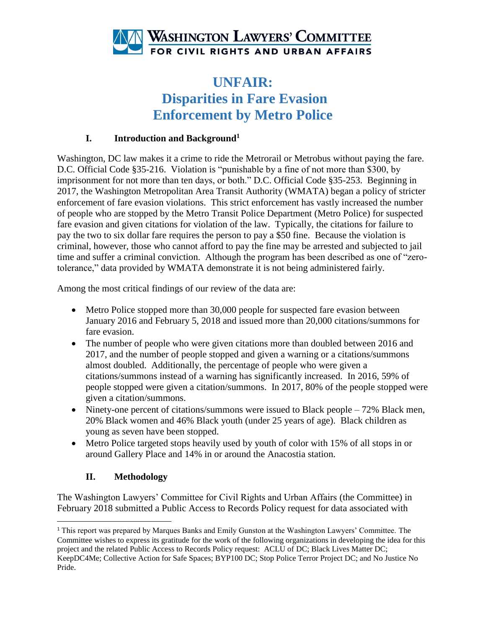

## **UNFAIR: Disparities in Fare Evasion Enforcement by Metro Police**

#### **I. Introduction and Background<sup>1</sup>**

Washington, DC law makes it a crime to ride the Metrorail or Metrobus without paying the fare. D.C. Official Code §35-216. Violation is "punishable by a fine of not more than \$300, by imprisonment for not more than ten days, or both." D.C. Official Code §35-253. Beginning in 2017, the Washington Metropolitan Area Transit Authority (WMATA) began a policy of stricter enforcement of fare evasion violations. This strict enforcement has vastly increased the number of people who are stopped by the Metro Transit Police Department (Metro Police) for suspected fare evasion and given citations for violation of the law. Typically, the citations for failure to pay the two to six dollar fare requires the person to pay a \$50 fine. Because the violation is criminal, however, those who cannot afford to pay the fine may be arrested and subjected to jail time and suffer a criminal conviction. Although the program has been described as one of "zerotolerance," data provided by WMATA demonstrate it is not being administered fairly.

Among the most critical findings of our review of the data are:

- Metro Police stopped more than 30,000 people for suspected fare evasion between January 2016 and February 5, 2018 and issued more than 20,000 citations/summons for fare evasion.
- The number of people who were given citations more than doubled between 2016 and 2017, and the number of people stopped and given a warning or a citations/summons almost doubled. Additionally, the percentage of people who were given a citations/summons instead of a warning has significantly increased. In 2016, 59% of people stopped were given a citation/summons. In 2017, 80% of the people stopped were given a citation/summons.
- Ninety-one percent of citations/summons were issued to Black people 72% Black men, 20% Black women and 46% Black youth (under 25 years of age). Black children as young as seven have been stopped.
- Metro Police targeted stops heavily used by youth of color with 15% of all stops in or around Gallery Place and 14% in or around the Anacostia station.

#### **II. Methodology**

l

The Washington Lawyers' Committee for Civil Rights and Urban Affairs (the Committee) in February 2018 submitted a Public Access to Records Policy request for data associated with

<sup>1</sup> This report was prepared by Marques Banks and Emily Gunston at the Washington Lawyers' Committee. The Committee wishes to express its gratitude for the work of the following organizations in developing the idea for this project and the related Public Access to Records Policy request: ACLU of DC; Black Lives Matter DC; KeepDC4Me; Collective Action for Safe Spaces; BYP100 DC; Stop Police Terror Project DC; and No Justice No Pride.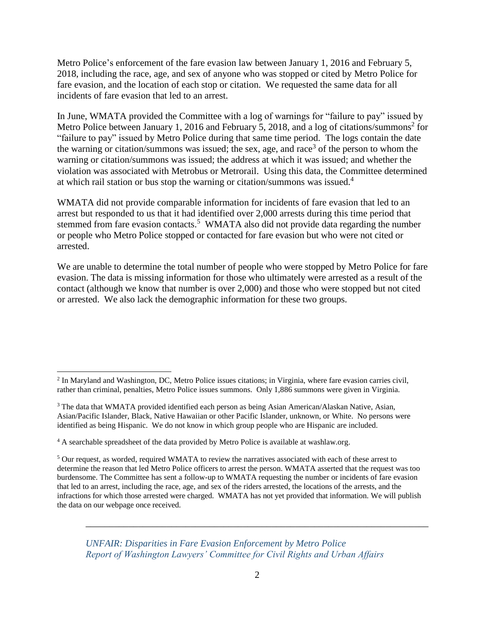Metro Police's enforcement of the fare evasion law between January 1, 2016 and February 5, 2018, including the race, age, and sex of anyone who was stopped or cited by Metro Police for fare evasion, and the location of each stop or citation. We requested the same data for all incidents of fare evasion that led to an arrest.

In June, WMATA provided the Committee with a log of warnings for "failure to pay" issued by Metro Police between January 1, 2016 and February 5, 2018, and a log of citations/summons<sup>2</sup> for "failure to pay" issued by Metro Police during that same time period. The logs contain the date the warning or citation/summons was issued; the sex, age, and race<sup>3</sup> of the person to whom the warning or citation/summons was issued; the address at which it was issued; and whether the violation was associated with Metrobus or Metrorail. Using this data, the Committee determined at which rail station or bus stop the warning or citation/summons was issued.<sup>4</sup>

WMATA did not provide comparable information for incidents of fare evasion that led to an arrest but responded to us that it had identified over 2,000 arrests during this time period that stemmed from fare evasion contacts.<sup>5</sup> WMATA also did not provide data regarding the number or people who Metro Police stopped or contacted for fare evasion but who were not cited or arrested.

We are unable to determine the total number of people who were stopped by Metro Police for fare evasion. The data is missing information for those who ultimately were arrested as a result of the contact (although we know that number is over 2,000) and those who were stopped but not cited or arrested. We also lack the demographic information for these two groups.

 $\overline{\phantom{a}}$ 

*UNFAIR: Disparities in Fare Evasion Enforcement by Metro Police Report of Washington Lawyers' Committee for Civil Rights and Urban Affairs*

<sup>&</sup>lt;sup>2</sup> In Maryland and Washington, DC, Metro Police issues citations; in Virginia, where fare evasion carries civil, rather than criminal, penalties, Metro Police issues summons. Only 1,886 summons were given in Virginia.

<sup>3</sup> The data that WMATA provided identified each person as being Asian American/Alaskan Native, Asian, Asian/Pacific Islander, Black, Native Hawaiian or other Pacific Islander, unknown, or White. No persons were identified as being Hispanic. We do not know in which group people who are Hispanic are included.

<sup>&</sup>lt;sup>4</sup> A searchable spreadsheet of the data provided by Metro Police is available at washlaw.org.

<sup>5</sup> Our request, as worded, required WMATA to review the narratives associated with each of these arrest to determine the reason that led Metro Police officers to arrest the person. WMATA asserted that the request was too burdensome. The Committee has sent a follow-up to WMATA requesting the number or incidents of fare evasion that led to an arrest, including the race, age, and sex of the riders arrested, the locations of the arrests, and the infractions for which those arrested were charged. WMATA has not yet provided that information. We will publish the data on our webpage once received.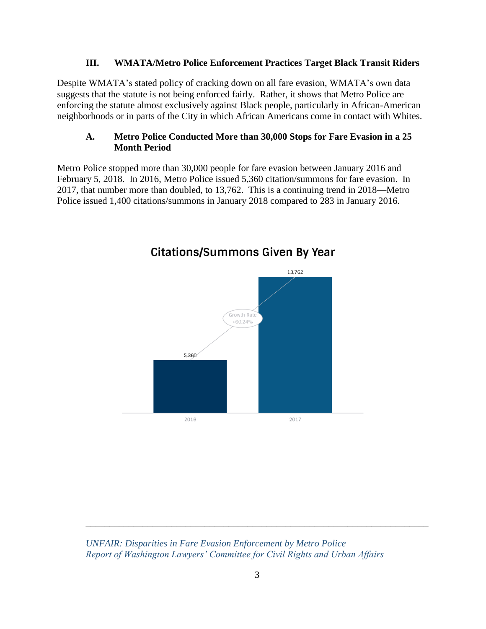#### **III. WMATA/Metro Police Enforcement Practices Target Black Transit Riders**

Despite WMATA's stated policy of cracking down on all fare evasion, WMATA's own data suggests that the statute is not being enforced fairly. Rather, it shows that Metro Police are enforcing the statute almost exclusively against Black people, particularly in African-American neighborhoods or in parts of the City in which African Americans come in contact with Whites.

#### **A. Metro Police Conducted More than 30,000 Stops for Fare Evasion in a 25 Month Period**

Metro Police stopped more than 30,000 people for fare evasion between January 2016 and February 5, 2018. In 2016, Metro Police issued 5,360 citation/summons for fare evasion. In 2017, that number more than doubled, to 13,762. This is a continuing trend in 2018—Metro Police issued 1,400 citations/summons in January 2018 compared to 283 in January 2016.



### **Citations/Summons Given By Year**

*UNFAIR: Disparities in Fare Evasion Enforcement by Metro Police Report of Washington Lawyers' Committee for Civil Rights and Urban Affairs*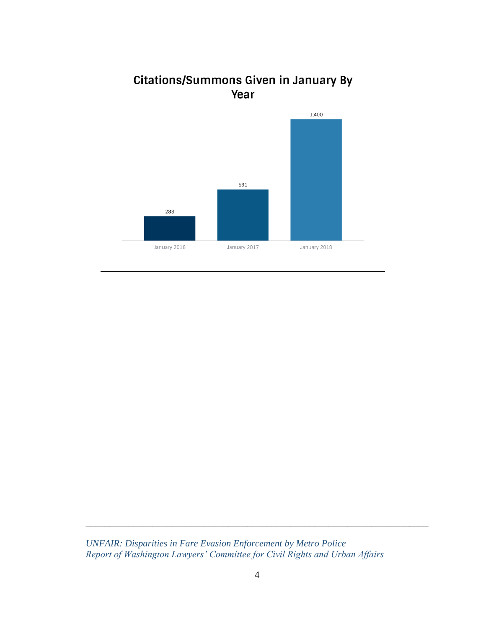



*UNFAIR: Disparities in Fare Evasion Enforcement by Metro Police Report of Washington Lawyers' Committee for Civil Rights and Urban Affairs*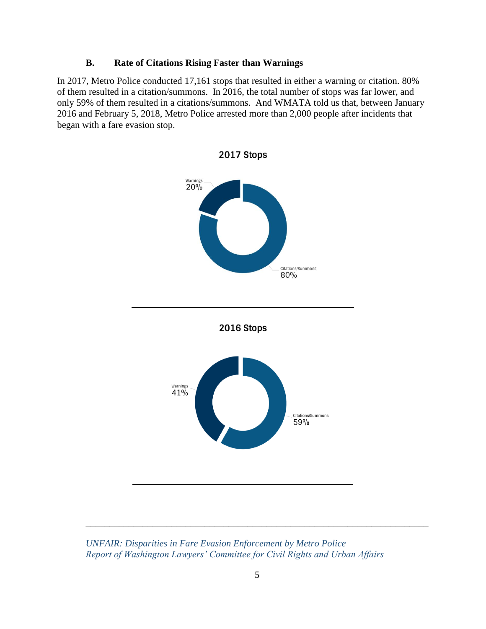#### **B. Rate of Citations Rising Faster than Warnings**

In 2017, Metro Police conducted 17,161 stops that resulted in either a warning or citation. 80% of them resulted in a citation/summons. In 2016, the total number of stops was far lower, and only 59% of them resulted in a citations/summons. And WMATA told us that, between January 2016 and February 5, 2018, Metro Police arrested more than 2,000 people after incidents that began with a fare evasion stop.



*UNFAIR: Disparities in Fare Evasion Enforcement by Metro Police Report of Washington Lawyers' Committee for Civil Rights and Urban Affairs*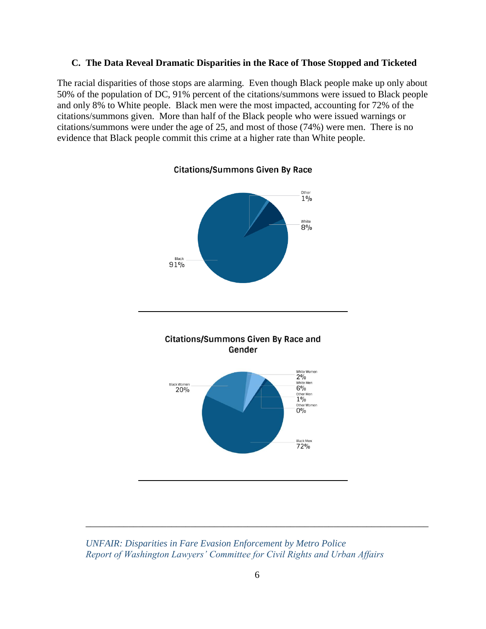#### **C. The Data Reveal Dramatic Disparities in the Race of Those Stopped and Ticketed**

The racial disparities of those stops are alarming. Even though Black people make up only about 50% of the population of DC, 91% percent of the citations/summons were issued to Black people and only 8% to White people. Black men were the most impacted, accounting for 72% of the citations/summons given. More than half of the Black people who were issued warnings or citations/summons were under the age of 25, and most of those (74%) were men. There is no evidence that Black people commit this crime at a higher rate than White people.

**Citations/Summons Given By Race** 



*UNFAIR: Disparities in Fare Evasion Enforcement by Metro Police Report of Washington Lawyers' Committee for Civil Rights and Urban Affairs*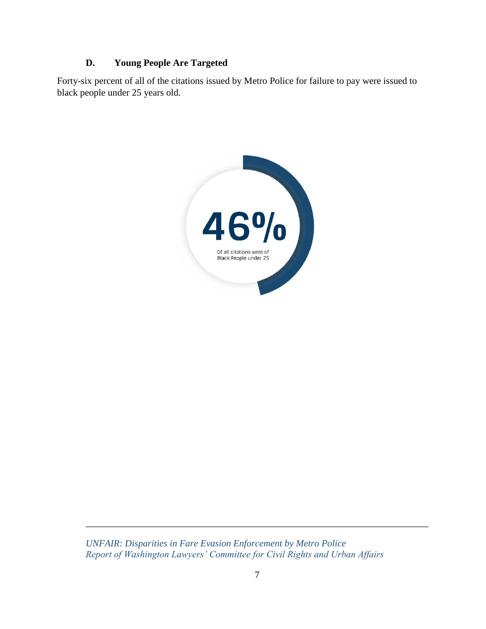#### **D. Young People Are Targeted**

Forty-six percent of all of the citations issued by Metro Police for failure to pay were issued to black people under 25 years old.



*UNFAIR: Disparities in Fare Evasion Enforcement by Metro Police Report of Washington Lawyers' Committee for Civil Rights and Urban Affairs*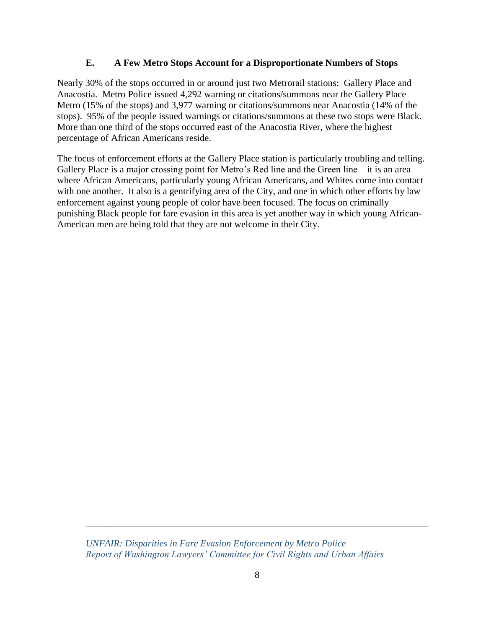#### **E. A Few Metro Stops Account for a Disproportionate Numbers of Stops**

Nearly 30% of the stops occurred in or around just two Metrorail stations: Gallery Place and Anacostia. Metro Police issued 4,292 warning or citations/summons near the Gallery Place Metro (15% of the stops) and 3,977 warning or citations/summons near Anacostia (14% of the stops). 95% of the people issued warnings or citations/summons at these two stops were Black. More than one third of the stops occurred east of the Anacostia River, where the highest percentage of African Americans reside.

The focus of enforcement efforts at the Gallery Place station is particularly troubling and telling. Gallery Place is a major crossing point for Metro's Red line and the Green line—it is an area where African Americans, particularly young African Americans, and Whites come into contact with one another. It also is a gentrifying area of the City, and one in which other efforts by law enforcement against young people of color have been focused. The focus on criminally punishing Black people for fare evasion in this area is yet another way in which young African-American men are being told that they are not welcome in their City.

*UNFAIR: Disparities in Fare Evasion Enforcement by Metro Police Report of Washington Lawyers' Committee for Civil Rights and Urban Affairs*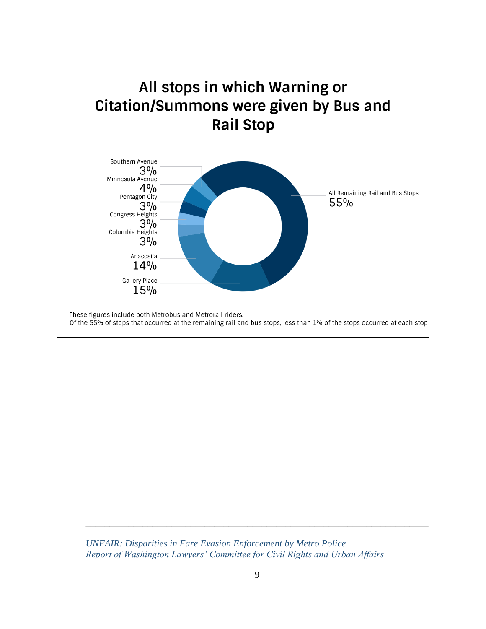# All stops in which Warning or **Citation/Summons were given by Bus and Rail Stop**



These figures include both Metrobus and Metrorail riders. Of the 55% of stops that occurred at the remaining rail and bus stops, less than 1% of the stops occurred at each stop

*UNFAIR: Disparities in Fare Evasion Enforcement by Metro Police Report of Washington Lawyers' Committee for Civil Rights and Urban Affairs*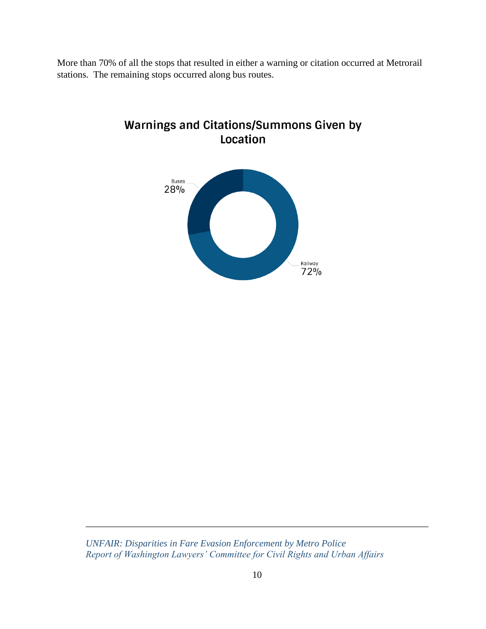More than 70% of all the stops that resulted in either a warning or citation occurred at Metrorail stations. The remaining stops occurred along bus routes.



**Warnings and Citations/Summons Given by** Location

*UNFAIR: Disparities in Fare Evasion Enforcement by Metro Police Report of Washington Lawyers' Committee for Civil Rights and Urban Affairs*